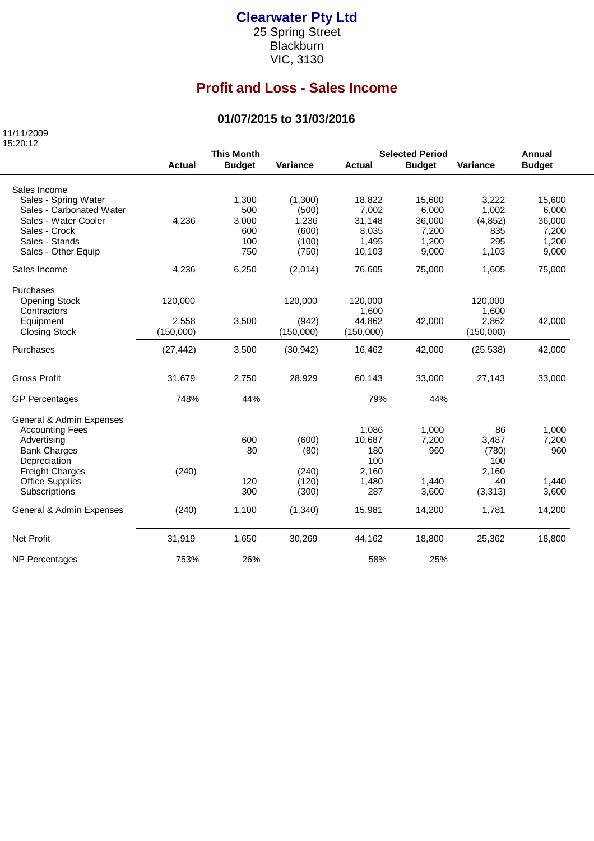#### **Clearwater Pty Ltd**

25 Spring Street Blackburn VIC, 3130

# **Profit and Loss - Sales Income**

### **01/07/2015 to 31/03/2016**

 11/11/2009 15:20:12

|                          | <b>This Month</b> |               |           | <b>Selected Period</b><br><b>Annual</b> |               |           |               |
|--------------------------|-------------------|---------------|-----------|-----------------------------------------|---------------|-----------|---------------|
|                          | <b>Actual</b>     | <b>Budget</b> | Variance  | <b>Actual</b>                           | <b>Budget</b> | Variance  | <b>Budget</b> |
| Sales Income             |                   |               |           |                                         |               |           |               |
| Sales - Spring Water     |                   | 1,300         | (1,300)   | 18,822                                  | 15,600        | 3,222     | 15,600        |
| Sales - Carbonated Water |                   | 500           | (500)     | 7,002                                   | 6,000         | 1,002     | 6,000         |
| Sales - Water Cooler     | 4,236             | 3,000         | 1,236     | 31,148                                  | 36,000        | (4, 852)  | 36,000        |
| Sales - Crock            |                   | 600           | (600)     | 8,035                                   | 7,200         | 835       | 7,200         |
| Sales - Stands           |                   | 100           | (100)     | 1,495                                   | 1,200         | 295       | 1,200         |
| Sales - Other Equip      |                   | 750           | (750)     | 10,103                                  | 9,000         | 1,103     | 9,000         |
| Sales Income             | 4,236             | 6,250         | (2,014)   | 76,605                                  | 75,000        | 1,605     | 75,000        |
| Purchases                |                   |               |           |                                         |               |           |               |
| <b>Opening Stock</b>     | 120,000           |               | 120,000   | 120,000                                 |               | 120,000   |               |
| Contractors              |                   |               |           | 1,600                                   |               | 1,600     |               |
| Equipment                | 2,558             | 3,500         | (942)     | 44.862                                  | 42,000        | 2,862     | 42,000        |
| <b>Closing Stock</b>     | (150,000)         |               | (150,000) | (150,000)                               |               | (150,000) |               |
| Purchases                | (27, 442)         | 3,500         | (30, 942) | 16,462                                  | 42,000        | (25, 538) | 42,000        |
| <b>Gross Profit</b>      | 31,679            | 2,750         | 28,929    | 60,143                                  | 33,000        | 27,143    | 33,000        |
| <b>GP Percentages</b>    | 748%              | 44%           |           | 79%                                     | 44%           |           |               |
| General & Admin Expenses |                   |               |           |                                         |               |           |               |
| <b>Accounting Fees</b>   |                   |               |           | 1,086                                   | 1,000         | 86        | 1,000         |
| Advertising              |                   | 600           | (600)     | 10,687                                  | 7,200         | 3,487     | 7,200         |
| <b>Bank Charges</b>      |                   | 80            | (80)      | 180                                     | 960           | (780)     | 960           |
| Depreciation             |                   |               |           | 100                                     |               | 100       |               |
| <b>Freight Charges</b>   | (240)             |               | (240)     | 2,160                                   |               | 2,160     |               |
| <b>Office Supplies</b>   |                   | 120           | (120)     | 1,480                                   | 1,440         | 40        | 1,440         |
| Subscriptions            |                   | 300           | (300)     | 287                                     | 3,600         | (3, 313)  | 3,600         |
| General & Admin Expenses | (240)             | 1,100         | (1,340)   | 15,981                                  | 14,200        | 1,781     | 14,200        |
| <b>Net Profit</b>        | 31,919            | 1,650         | 30,269    | 44,162                                  | 18,800        | 25,362    | 18,800        |
| NP Percentages           | 753%              | 26%           |           | 58%                                     | 25%           |           |               |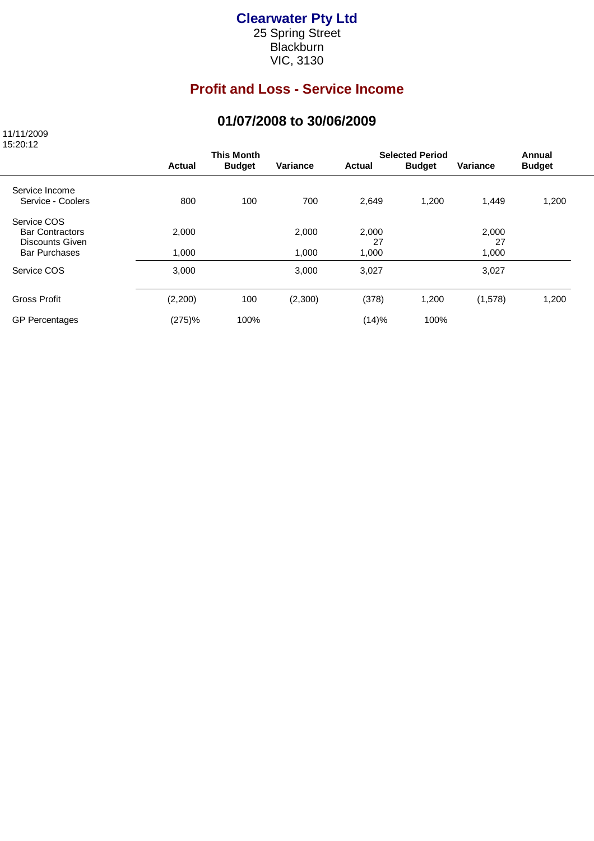#### **Clearwater Pty Ltd**

25 Spring Street **Blackburn** VIC, 3130

# **Profit and Loss - Service Income**

### **01/07/2008 to 30/06/2009**

 11/11/2009 15:20:12

|                                                          | <b>This Month</b> |               |          | <b>Selected Period</b> | Annual        |                 |               |
|----------------------------------------------------------|-------------------|---------------|----------|------------------------|---------------|-----------------|---------------|
|                                                          | <b>Actual</b>     | <b>Budget</b> | Variance | Actual                 | <b>Budget</b> | <b>Variance</b> | <b>Budget</b> |
| Service Income<br>Service - Coolers                      | 800               | 100           | 700      | 2,649                  | 1,200         | 1,449           | 1,200         |
| Service COS<br><b>Bar Contractors</b><br>Discounts Given | 2,000             |               | 2,000    | 2,000<br>27            |               | 2,000<br>27     |               |
| <b>Bar Purchases</b>                                     | 1,000             |               | 1,000    | 1,000                  |               | 1,000           |               |
| Service COS                                              | 3,000             |               | 3,000    | 3,027                  |               | 3,027           |               |
| <b>Gross Profit</b>                                      | (2,200)           | 100           | (2,300)  | (378)                  | 1,200         | (1,578)         | 1,200         |
| <b>GP Percentages</b>                                    | (275)%            | 100%          |          | (14)%                  | 100%          |                 |               |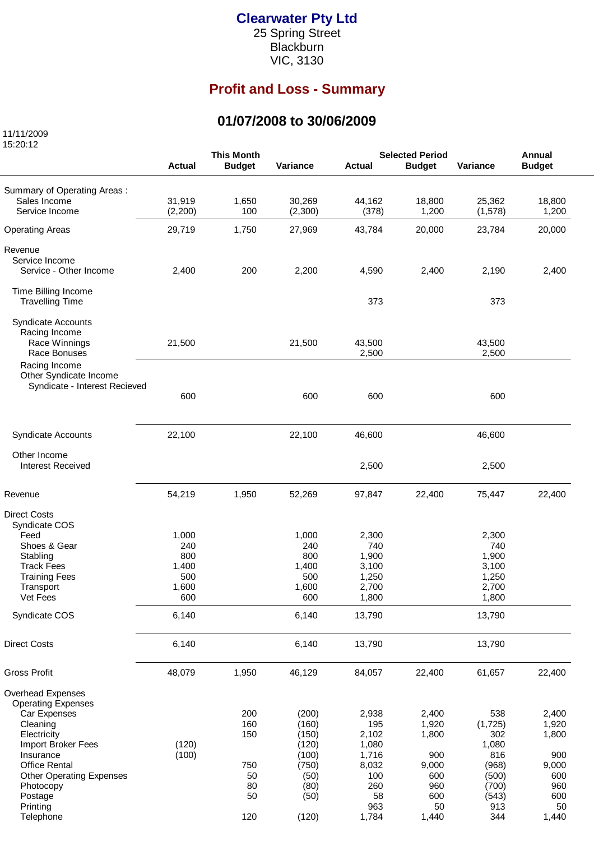#### **Clearwater Pty Ltd**

25 Spring Street Blackburn VIC, 3130

# **Profit and Loss - Summary**

### **01/07/2008 to 30/06/2009**

 11/11/2009 15:20:12

|                                         |               | <b>This Month</b> |          | <b>Selected Period</b> |               |          | Annual        |  |
|-----------------------------------------|---------------|-------------------|----------|------------------------|---------------|----------|---------------|--|
|                                         | <b>Actual</b> | <b>Budget</b>     | Variance | <b>Actual</b>          | <b>Budget</b> | Variance | <b>Budget</b> |  |
|                                         |               |                   |          |                        |               |          |               |  |
| Summary of Operating Areas:             |               |                   |          |                        |               |          |               |  |
| Sales Income                            | 31,919        | 1,650             | 30,269   | 44,162                 | 18,800        | 25,362   | 18,800        |  |
| Service Income                          | (2,200)       | 100               | (2,300)  | (378)                  | 1,200         | (1, 578) | 1,200         |  |
| <b>Operating Areas</b>                  | 29,719        | 1,750             | 27,969   | 43,784                 | 20,000        | 23,784   | 20,000        |  |
| Revenue                                 |               |                   |          |                        |               |          |               |  |
| Service Income                          |               |                   |          |                        |               |          |               |  |
| Service - Other Income                  | 2,400         | 200               | 2,200    | 4,590                  | 2,400         | 2,190    | 2,400         |  |
|                                         |               |                   |          |                        |               |          |               |  |
| Time Billing Income                     |               |                   |          |                        |               |          |               |  |
| <b>Travelling Time</b>                  |               |                   |          | 373                    |               | 373      |               |  |
|                                         |               |                   |          |                        |               |          |               |  |
| <b>Syndicate Accounts</b>               |               |                   |          |                        |               |          |               |  |
| Racing Income                           |               |                   |          |                        |               |          |               |  |
| Race Winnings                           | 21,500        |                   | 21,500   | 43,500                 |               | 43,500   |               |  |
| Race Bonuses                            |               |                   |          | 2,500                  |               | 2,500    |               |  |
| Racing Income<br>Other Syndicate Income |               |                   |          |                        |               |          |               |  |
| Syndicate - Interest Recieved           |               |                   |          |                        |               |          |               |  |
|                                         | 600           |                   | 600      | 600                    |               | 600      |               |  |
|                                         |               |                   |          |                        |               |          |               |  |
|                                         |               |                   |          |                        |               |          |               |  |
| <b>Syndicate Accounts</b>               | 22,100        |                   | 22,100   | 46,600                 |               | 46,600   |               |  |
| Other Income                            |               |                   |          |                        |               |          |               |  |
| <b>Interest Received</b>                |               |                   |          | 2,500                  |               | 2,500    |               |  |
|                                         |               |                   |          |                        |               |          |               |  |
| Revenue                                 | 54,219        | 1,950             | 52,269   | 97,847                 | 22,400        | 75,447   | 22,400        |  |
|                                         |               |                   |          |                        |               |          |               |  |
| <b>Direct Costs</b>                     |               |                   |          |                        |               |          |               |  |
| Syndicate COS                           |               |                   |          |                        |               |          |               |  |
| Feed                                    | 1,000         |                   | 1,000    | 2,300                  |               | 2,300    |               |  |
| Shoes & Gear                            | 240           |                   | 240      | 740                    |               | 740      |               |  |
| Stabling                                | 800           |                   | 800      | 1,900                  |               | 1,900    |               |  |
| <b>Track Fees</b>                       | 1,400         |                   | 1,400    | 3,100                  |               | 3,100    |               |  |
| <b>Training Fees</b>                    | 500           |                   | 500      | 1,250                  |               | 1,250    |               |  |
| Transport                               | 1,600         |                   | 1,600    | 2,700                  |               | 2,700    |               |  |
| Vet Fees                                | 600           |                   | 600      | 1,800                  |               | 1,800    |               |  |
| Syndicate COS                           | 6,140         |                   | 6,140    | 13,790                 |               | 13,790   |               |  |
|                                         |               |                   |          |                        |               |          |               |  |
| <b>Direct Costs</b>                     | 6,140         |                   | 6,140    | 13,790                 |               | 13,790   |               |  |
|                                         |               |                   |          |                        |               |          |               |  |
| <b>Gross Profit</b>                     | 48,079        | 1,950             | 46,129   | 84,057                 | 22,400        | 61,657   | 22,400        |  |
| Overhead Expenses                       |               |                   |          |                        |               |          |               |  |
| <b>Operating Expenses</b>               |               |                   |          |                        |               |          |               |  |
| Car Expenses                            |               | 200               | (200)    | 2,938                  | 2,400         | 538      | 2,400         |  |
| Cleaning                                |               | 160               | (160)    | 195                    | 1,920         | (1, 725) | 1,920         |  |
| Electricity                             |               | 150               | (150)    | 2,102                  | 1,800         | 302      | 1,800         |  |
| Import Broker Fees                      | (120)         |                   | (120)    | 1,080                  |               | 1,080    |               |  |
| Insurance                               | (100)         |                   | (100)    | 1,716                  | 900           | 816      | 900           |  |
| <b>Office Rental</b>                    |               | 750               | (750)    | 8,032                  | 9,000         | (968)    | 9,000         |  |
| <b>Other Operating Expenses</b>         |               | 50                | (50)     | 100                    | 600           | (500)    | 600           |  |
| Photocopy                               |               | 80                | (80)     | 260                    | 960           | (700)    | 960           |  |
| Postage                                 |               | 50                | (50)     | 58                     | 600           | (543)    | 600           |  |
| Printing                                |               |                   |          | 963                    | 50            | 913      | 50            |  |
| Telephone                               |               | 120               | (120)    | 1,784                  | 1,440         | 344      | 1,440         |  |